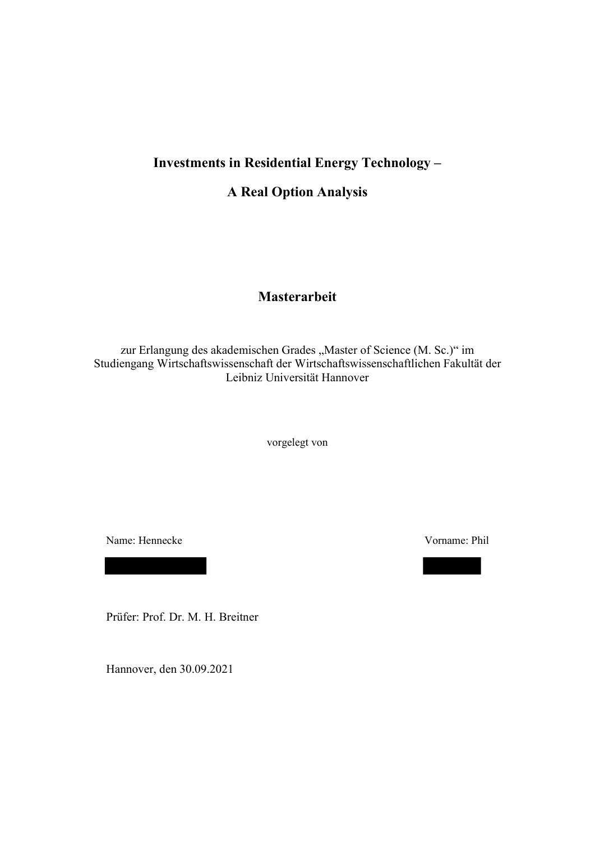## **Investments in Residential Energy Technology –**

### **A Real Option Analysis**

## **Masterarbeit**

zur Erlangung des akademischen Grades "Master of Science (M. Sc.)" im Studiengang Wirtschaftswissenschaft der Wirtschaftswissenschaftlichen Fakultät der Leibniz Universität Hannover

vorgelegt von

Name: Hennecke Vorname: Phil

Prüfer: Prof. Dr. M. H. Breitner

Hannover, den 30.09.2021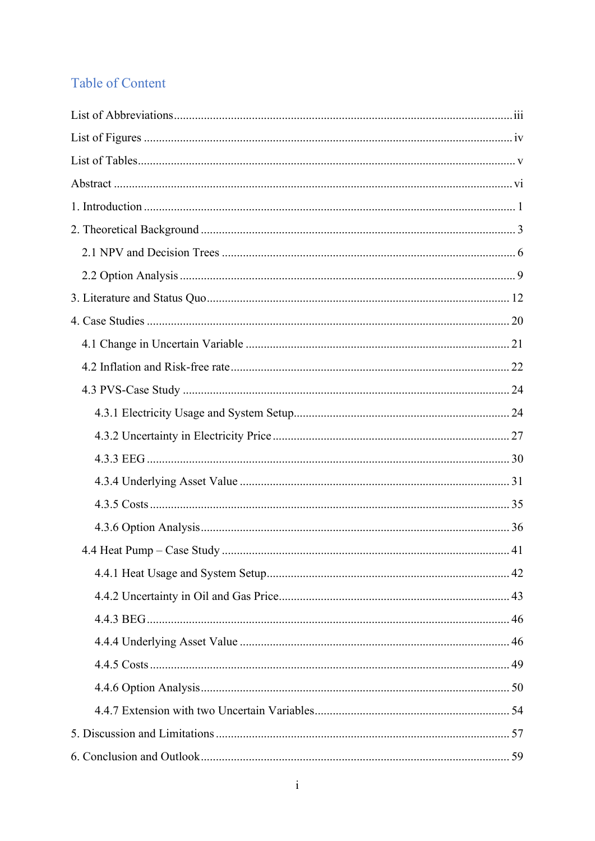# Table of Content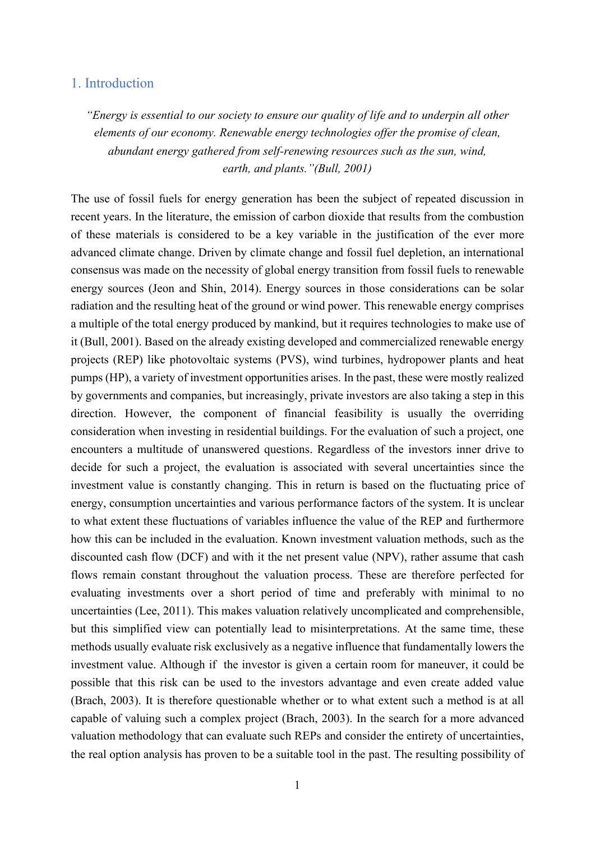### 1. Introduction

*"Energy is essential to our society to ensure our quality of life and to underpin all other elements of our economy. Renewable energy technologies offer the promise of clean, abundant energy gathered from self-renewing resources such as the sun, wind, earth, and plants."(Bull, 2001)* 

The use of fossil fuels for energy generation has been the subject of repeated discussion in recent years. In the literature, the emission of carbon dioxide that results from the combustion of these materials is considered to be a key variable in the justification of the ever more advanced climate change. Driven by climate change and fossil fuel depletion, an international consensus was made on the necessity of global energy transition from fossil fuels to renewable energy sources (Jeon and Shin, 2014). Energy sources in those considerations can be solar radiation and the resulting heat of the ground or wind power. This renewable energy comprises a multiple of the total energy produced by mankind, but it requires technologies to make use of it (Bull, 2001). Based on the already existing developed and commercialized renewable energy projects (REP) like photovoltaic systems (PVS), wind turbines, hydropower plants and heat pumps (HP), a variety of investment opportunities arises. In the past, these were mostly realized by governments and companies, but increasingly, private investors are also taking a step in this direction. However, the component of financial feasibility is usually the overriding consideration when investing in residential buildings. For the evaluation of such a project, one encounters a multitude of unanswered questions. Regardless of the investors inner drive to decide for such a project, the evaluation is associated with several uncertainties since the investment value is constantly changing. This in return is based on the fluctuating price of energy, consumption uncertainties and various performance factors of the system. It is unclear to what extent these fluctuations of variables influence the value of the REP and furthermore how this can be included in the evaluation. Known investment valuation methods, such as the discounted cash flow (DCF) and with it the net present value (NPV), rather assume that cash flows remain constant throughout the valuation process. These are therefore perfected for evaluating investments over a short period of time and preferably with minimal to no uncertainties (Lee, 2011). This makes valuation relatively uncomplicated and comprehensible, but this simplified view can potentially lead to misinterpretations. At the same time, these methods usually evaluate risk exclusively as a negative influence that fundamentally lowers the investment value. Although if the investor is given a certain room for maneuver, it could be possible that this risk can be used to the investors advantage and even create added value (Brach, 2003). It is therefore questionable whether or to what extent such a method is at all capable of valuing such a complex project (Brach, 2003). In the search for a more advanced valuation methodology that can evaluate such REPs and consider the entirety of uncertainties, the real option analysis has proven to be a suitable tool in the past. The resulting possibility of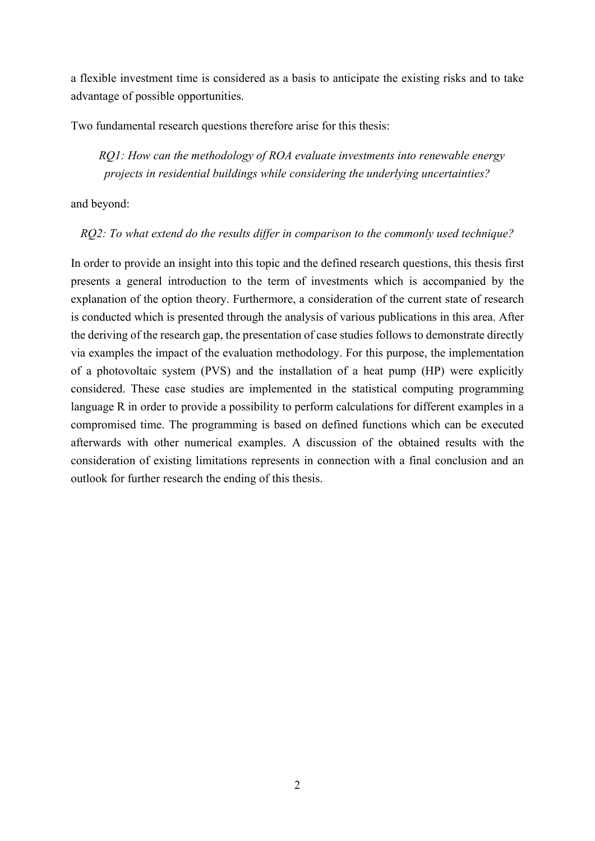a flexible investment time is considered as a basis to anticipate the existing risks and to take advantage of possible opportunities.

Two fundamental research questions therefore arise for this thesis:

 *RQ1: How can the methodology of ROA evaluate investments into renewable energy projects in residential buildings while considering the underlying uncertainties?* 

and beyond:

*RQ2: To what extend do the results differ in comparison to the commonly used technique?* 

In order to provide an insight into this topic and the defined research questions, this thesis first presents a general introduction to the term of investments which is accompanied by the explanation of the option theory. Furthermore, a consideration of the current state of research is conducted which is presented through the analysis of various publications in this area. After the deriving of the research gap, the presentation of case studies follows to demonstrate directly via examples the impact of the evaluation methodology. For this purpose, the implementation of a photovoltaic system (PVS) and the installation of a heat pump (HP) were explicitly considered. These case studies are implemented in the statistical computing programming language R in order to provide a possibility to perform calculations for different examples in a compromised time. The programming is based on defined functions which can be executed afterwards with other numerical examples. A discussion of the obtained results with the consideration of existing limitations represents in connection with a final conclusion and an outlook for further research the ending of this thesis.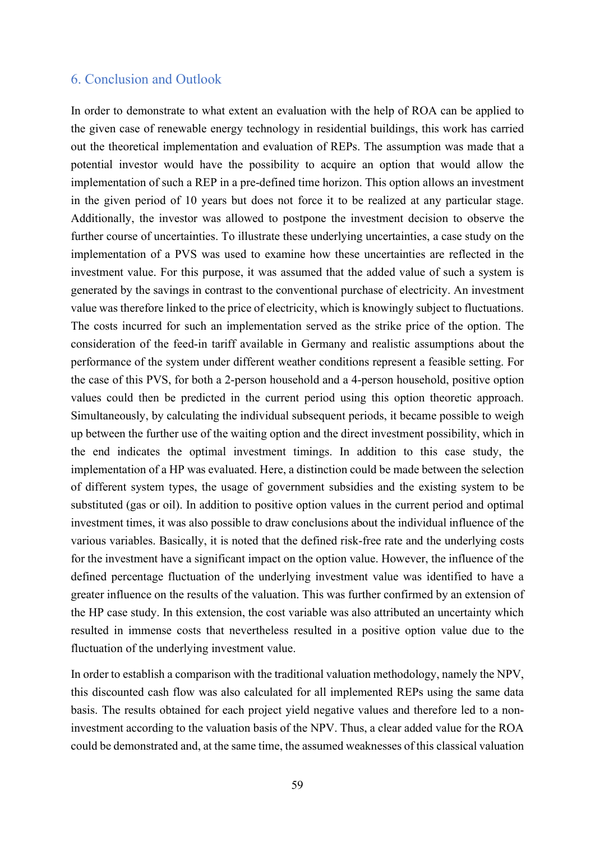### 6. Conclusion and Outlook

In order to demonstrate to what extent an evaluation with the help of ROA can be applied to the given case of renewable energy technology in residential buildings, this work has carried out the theoretical implementation and evaluation of REPs. The assumption was made that a potential investor would have the possibility to acquire an option that would allow the implementation of such a REP in a pre-defined time horizon. This option allows an investment in the given period of 10 years but does not force it to be realized at any particular stage. Additionally, the investor was allowed to postpone the investment decision to observe the further course of uncertainties. To illustrate these underlying uncertainties, a case study on the implementation of a PVS was used to examine how these uncertainties are reflected in the investment value. For this purpose, it was assumed that the added value of such a system is generated by the savings in contrast to the conventional purchase of electricity. An investment value was therefore linked to the price of electricity, which is knowingly subject to fluctuations. The costs incurred for such an implementation served as the strike price of the option. The consideration of the feed-in tariff available in Germany and realistic assumptions about the performance of the system under different weather conditions represent a feasible setting. For the case of this PVS, for both a 2-person household and a 4-person household, positive option values could then be predicted in the current period using this option theoretic approach. Simultaneously, by calculating the individual subsequent periods, it became possible to weigh up between the further use of the waiting option and the direct investment possibility, which in the end indicates the optimal investment timings. In addition to this case study, the implementation of a HP was evaluated. Here, a distinction could be made between the selection of different system types, the usage of government subsidies and the existing system to be substituted (gas or oil). In addition to positive option values in the current period and optimal investment times, it was also possible to draw conclusions about the individual influence of the various variables. Basically, it is noted that the defined risk-free rate and the underlying costs for the investment have a significant impact on the option value. However, the influence of the defined percentage fluctuation of the underlying investment value was identified to have a greater influence on the results of the valuation. This was further confirmed by an extension of the HP case study. In this extension, the cost variable was also attributed an uncertainty which resulted in immense costs that nevertheless resulted in a positive option value due to the fluctuation of the underlying investment value.

In order to establish a comparison with the traditional valuation methodology, namely the NPV, this discounted cash flow was also calculated for all implemented REPs using the same data basis. The results obtained for each project yield negative values and therefore led to a noninvestment according to the valuation basis of the NPV. Thus, a clear added value for the ROA could be demonstrated and, at the same time, the assumed weaknesses of this classical valuation